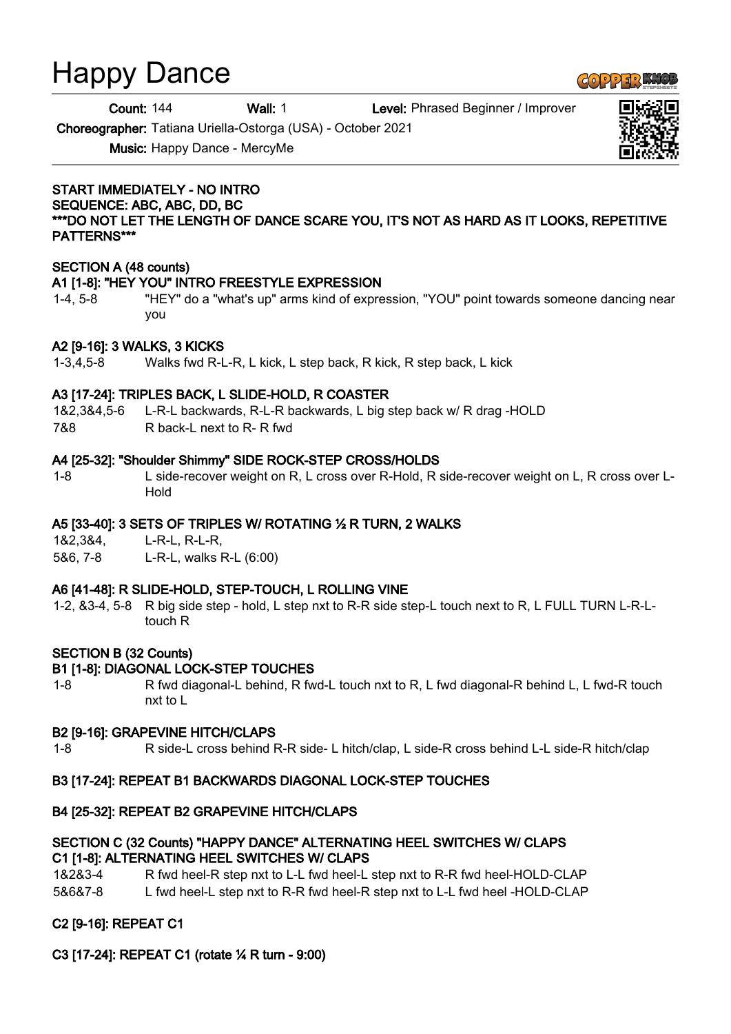# Happy Dance

Count: 144 Wall: 1 Level: Phrased Beginner / Improver

Choreographer: Tatiana Uriella-Ostorga (USA) - October 2021

Music: Happy Dance - MercyMe

#### START IMMEDIATELY - NO INTRO SEQUENCE: ABC, ABC, DD, BC \*\*\*DO NOT LET THE LENGTH OF DANCE SCARE YOU, IT'S NOT AS HARD AS IT LOOKS, REPETITIVE PATTERNS\*\*\*

## SECTION A (48 counts)

## A1 [1-8]: "HEY YOU" INTRO FREESTYLE EXPRESSION

1-4, 5-8 "HEY" do a "what's up" arms kind of expression, "YOU" point towards someone dancing near you

#### A2 [9-16]: 3 WALKS, 3 KICKS

1-3,4,5-8 Walks fwd R-L-R, L kick, L step back, R kick, R step back, L kick

#### A3 [17-24]: TRIPLES BACK, L SLIDE-HOLD, R COASTER

1&2,3&4,5-6 L-R-L backwards, R-L-R backwards, L big step back w/ R drag -HOLD

7&8 R back-L next to R- R fwd

#### A4 [25-32]: "Shoulder Shimmy" SIDE ROCK-STEP CROSS/HOLDS

1-8 L side-recover weight on R, L cross over R-Hold, R side-recover weight on L, R cross over L-Hold

## A5 [33-40]: 3 SETS OF TRIPLES W/ ROTATING ½ R TURN, 2 WALKS

1&2,3&4, L-R-L, R-L-R,

5&6, 7-8 L-R-L, walks R-L (6:00)

## A6 [41-48]: R SLIDE-HOLD, STEP-TOUCH, L ROLLING VINE

1-2, &3-4, 5-8 R big side step - hold, L step nxt to R-R side step-L touch next to R, L FULL TURN L-R-Ltouch R

## SECTION B (32 Counts)

## B1 [1-8]: DIAGONAL LOCK-STEP TOUCHES

1-8 R fwd diagonal-L behind, R fwd-L touch nxt to R, L fwd diagonal-R behind L, L fwd-R touch nxt to L

#### B2 [9-16]: GRAPEVINE HITCH/CLAPS

1-8 R side-L cross behind R-R side- L hitch/clap, L side-R cross behind L-L side-R hitch/clap

## B3 [17-24]: REPEAT B1 BACKWARDS DIAGONAL LOCK-STEP TOUCHES

## B4 [25-32]: REPEAT B2 GRAPEVINE HITCH/CLAPS

#### SECTION C (32 Counts) "HAPPY DANCE" ALTERNATING HEEL SWITCHES W/ CLAPS C1 [1-8]: ALTERNATING HEEL SWITCHES W/ CLAPS

1&2&3-4 R fwd heel-R step nxt to L-L fwd heel-L step nxt to R-R fwd heel-HOLD-CLAP 5&6&7-8 L fwd heel-L step nxt to R-R fwd heel-R step nxt to L-L fwd heel -HOLD-CLAP

## C2 [9-16]: REPEAT C1

## C3 [17-24]: REPEAT C1 (rotate ¼ R turn - 9:00)